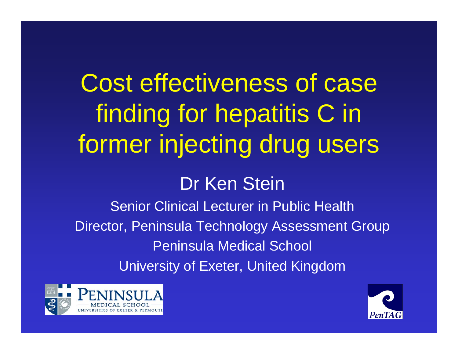# Cost effectiveness of case finding for hepatitis C in former injecting drug users

#### Dr Ken Stein

Senior Clinical Lecturer in Public Health Director, Peninsula Technology Assessment Group Peninsula Medical School University of Exeter, United Kingdom



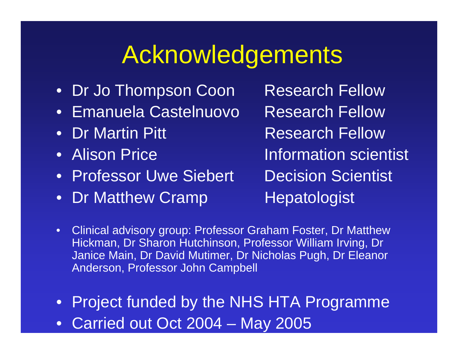#### Acknowledgements

- Dr Jo Thompson Coon Research Fellow
- Emanuela Castelnuovo
- Dr Martin Pitt
- •Alison Price
- •Professor Uwe
- Dr Matthew Cramp

Research Fellow**Research Fellow**  Information scientist **Decision Scientist Hepatologist** 

- •Clinical advisory group: Professor Graham Foster, Dr Matthew Hickman, Dr Sharon Hutchinson, Pro f essor William Irving, Dr Janice Main, Dr David Mutimer, Dr Nic holas Pugh, Dr Eleanor Anderson, Professor John Campbell
- Project funded by the NHS HTA Programme
- Carried out Oct 2004 May 2005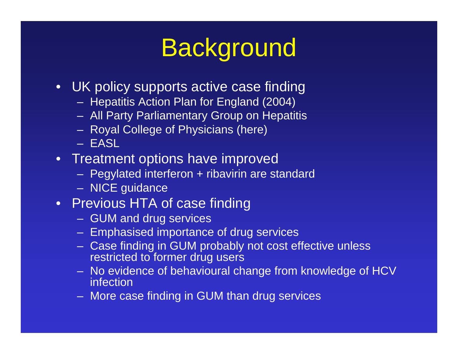# **Background**

- UK policy supports active case finding
	- Hepatitis Action Plan for England (2004)
	- All Party Parliamentary Group on Hepatitis
	- Royal College o f Physicians (here)
	- EASL
- Treatment options have improved
	- Pegylated interferon + ribavirin are standard
	- NICE guidance
- Previous HTA of case finding
	- GUM and drug services
	- Emphasised importance of drug services
	- Case finding in GUM probably not cost effective unless restricted to former drug users
	- No evidence of behavioural change from knowledge of HCV infection
	- More case finding in GUM than drug services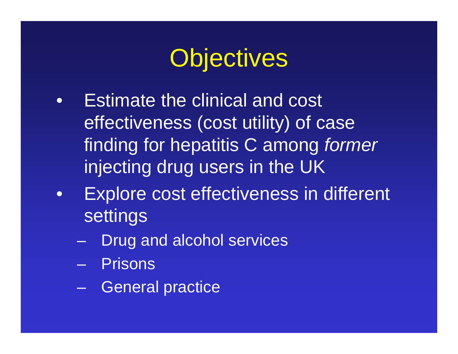## **Objectives**

- • Estimate the clinical and cost effectiveness (cost utility) of case finding for hepatitis C among *former* injecting drug users in the UK
- • Explore cost effectiveness in different settings
	- –Drug and alcohol services
	- Prisons
	- General practice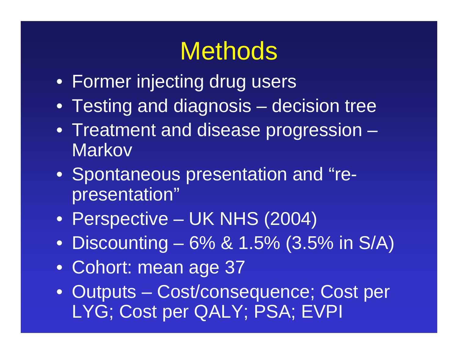#### **Methods**

- Former injecting drug users
- Testing and diagnosis decision tree
- Treatment and disease progression **Markov**
- Spontaneous presentation and "representation"
- Perspective UK NHS (2004)
- Discounting 6% & 1.5% (3.5% in S/A)
- Cohort: mean age 37
- Outputs Cost/consequence; Cost per LYG; Cost per QALY; PSA; EVPI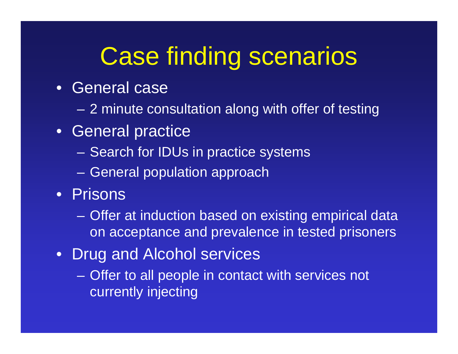# Case finding scenarios

- •General case
	- 2 minute consultation along with offer of testing
- General practice
	- Search for IDUs in practice systems
	- General population approach
- Prisons
	- Offer at induction based on existing empirical data on acceptance and prevalence in tested prisoners
- $\bullet$ Drug and Alcohol services
	- Offer to all people in contact with services not currently injecting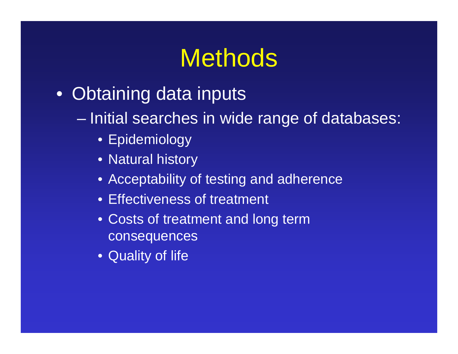#### **Methods**

- Obtaining data inputs
	- Initial searches in wide range of databases:
		- Epidemiology
		- Natural history
		- Acceptability of testing and adherence
		- Effectiveness of treatment
		- Costs of treatment and long term consequences
		- Quality of life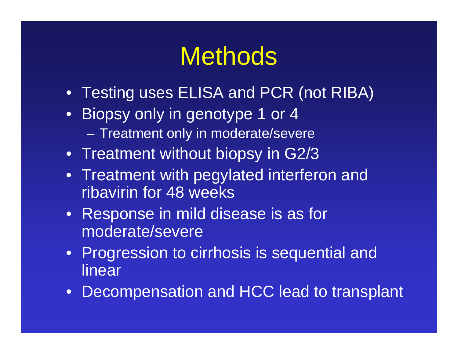# **Methods**

- Testing uses ELISA and PCR (not RIBA)
- Biopsy only in genotype 1 or 4  $\sim$ – Treatment only in moderate/severe
- Treatment without biopsy in G2/3
- Treatment with pegylated interferon and ribavirin for 48 weeks
- Response in mild disease is as for moderate/severe
- Progression to cirrhosis is sequential and linear
- Decompensation and HCC lead to transplant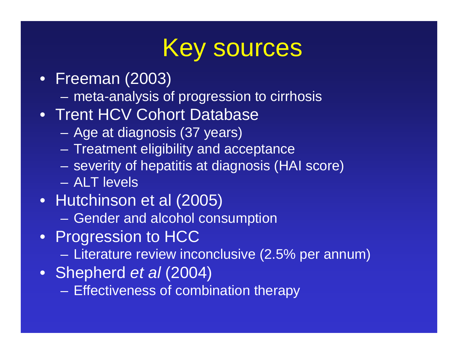#### Key sources

- Freeman (2003)
	- meta-analysis of progression to cirrhosis
- Trent HCV Cohort Database
	- Age at diagnosis (37 years)
	- Treatment eligibility and acceptance
	- severity of hepatitis at diagnosis (HAI score)
	- –ALT levels
- Hutchinson et al (2005)
	- Gender and alcohol consumption
- Progression to HCC
	- Literature review inconclusive (2.5% per annum)
- Shepherd *et al* (2004)
	- Effectiveness of combination therapy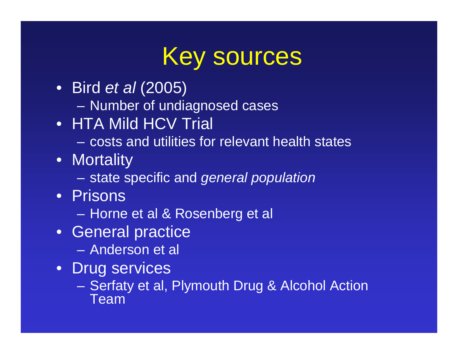#### Key sources

- Bir d *et al* (2005)
	- Number of undiagnosed cases
- HTA Mild HCV Trial
	- –costs and utilities for relevant health states
- Mortality
	- state specific and *general population*
- •Prisons
	- Horne et al & Rosenberg et al
- General practice
	- –Anderson et al
- Drug services
	- Serfaty et al, Plymouth Drug & Alcohol Action Team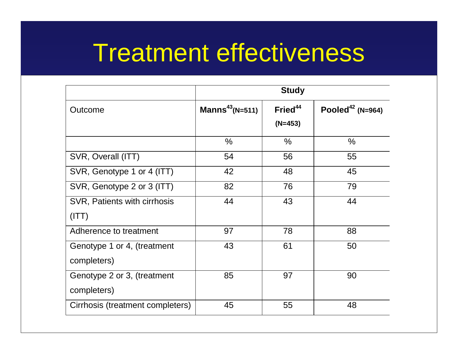#### Treatment effectiveness

|                                  | <b>Study</b>                |                                  |                              |
|----------------------------------|-----------------------------|----------------------------------|------------------------------|
| Outcome                          | Manns <sup>43</sup> (N=511) | Fried <sup>44</sup><br>$(N=453)$ | Pooled <sup>42</sup> (N=964) |
|                                  | $\frac{0}{0}$               | $\frac{0}{0}$                    | $\frac{0}{0}$                |
| SVR, Overall (ITT)               | 54                          | 56                               | 55                           |
| SVR, Genotype 1 or 4 (ITT)       | 42                          | 48                               | 45                           |
| SVR, Genotype 2 or 3 (ITT)       | 82                          | 76                               | 79                           |
| SVR, Patients with cirrhosis     | 44                          | 43                               | 44                           |
| (ITT)                            |                             |                                  |                              |
| Adherence to treatment           | 97                          | 78                               | 88                           |
| Genotype 1 or 4, (treatment      | 43                          | 61                               | 50                           |
| completers)                      |                             |                                  |                              |
| Genotype 2 or 3, (treatment      | 85                          | 97                               | 90                           |
| completers)                      |                             |                                  |                              |
| Cirrhosis (treatment completers) | 45                          | 55                               | 48                           |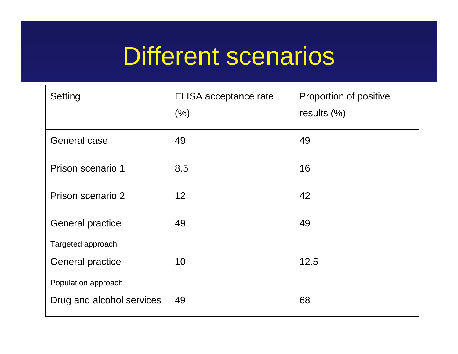#### Different scenarios

| Setting                   | ELISA acceptance rate<br>(% ) | Proportion of positive<br>results $(\%)$ |
|---------------------------|-------------------------------|------------------------------------------|
| <b>General case</b>       | 49                            | 49                                       |
| Prison scenario 1         | 8.5                           | 16                                       |
| Prison scenario 2         | 12                            | 42                                       |
| <b>General practice</b>   | 49                            | 49                                       |
| Targeted approach         |                               |                                          |
| <b>General practice</b>   | 10                            | 12.5                                     |
| Population approach       |                               |                                          |
| Drug and alcohol services | 49                            | 68                                       |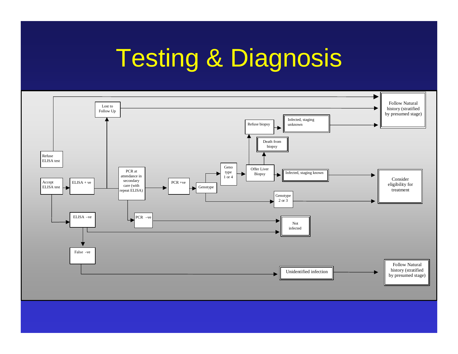# Testing & Diagnosis

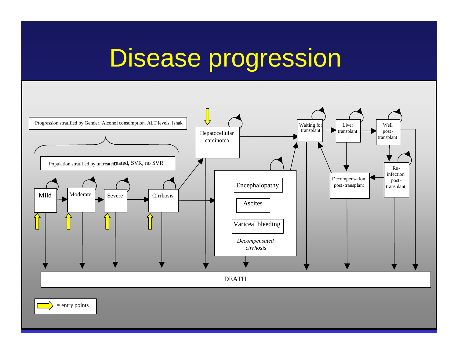### Disease progression



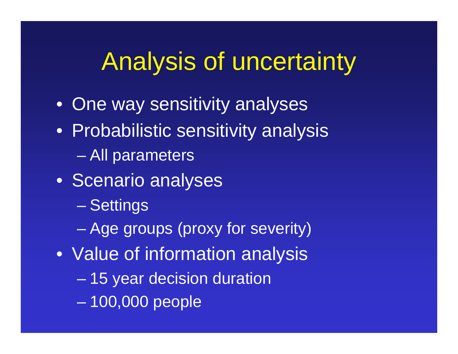# Analysis of uncertainty

- One way sensitivity analyses
- Probabilistic sensitivity analysis
	- en al control de la control de All parameters
- Scenario analyses
	- –– Settings
	- en al control de la control de Age groups (proxy for severity)
- Value of information analysis
	- –15 year decision duration
	- –100,000 people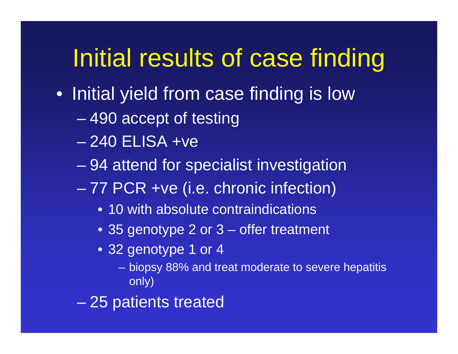# Initial results of case finding

- Initial yield from case finding is low
	- 490 accept of testing
	- 240 ELISA +ve
	- en al control de la control de 94 attend for specialist investigation
	- 77 PCR +ve (i.e. chronic infection)
		- 10 with absolute contraindications
		- 35 genotype 2 or 3 offer treatment
		- 32 genotype 1 or 4
			- biopsy 88% and treat moderate to severe hepatitis only)
	- 25 patients treated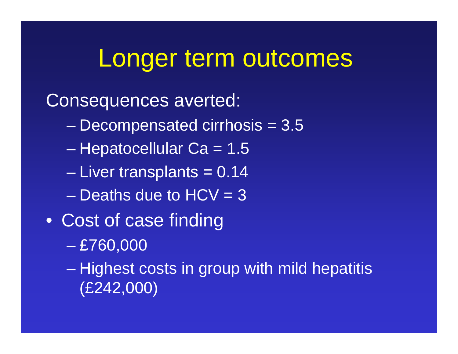#### Longer term outcomes

#### Consequences averted:

- Decompensated cirrhosis = 3.5
- en al control de la control de – Hepatocellular Ca = 1.5
- en al control de la control de Liver transplants = 0.14
- –Deaths due to HCV = 3
- Cost of case finding
	- en al control de la control de £760,000
	- –– Highest costs in group with mild hepatitis (£242,000)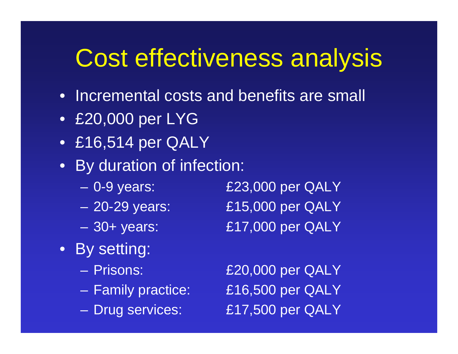# Cost effectiveness analysis

- Incremental costs and benefits are small
- £20,000 per LYG
- £16,514 per QALY
- By duration of infection:
	- –
	- –
	- –
- By setting:
	- –
	- –
	- –

£23,000 per QALY £15,000 per QALY £17,000 per QALY

£20,000 per QALY  $£16,500$  per QALY £17,500 per QALY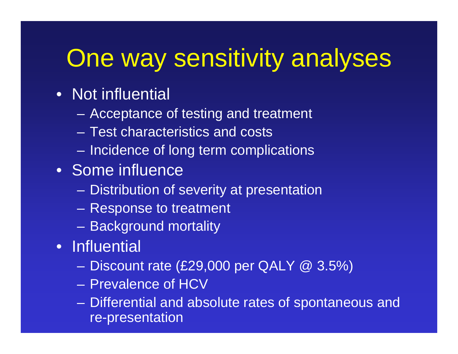# One way sensitivity analyses

#### • Not influential

- Acceptance of testing and treatment
- –Test characteristics and costs
- Incidence of long term complications
- Some influence
	- Distribution of severity at presentation
	- Response to treatment
	- Background mortality
- Influential
	- Discount rate (£29,000 per QALY @ 3.5%)
	- Prevalence of HCV
	- Differential and absolute rates of spontaneous and re-presentation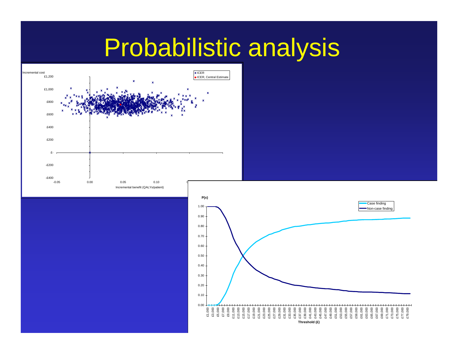#### Probabilistic analysis



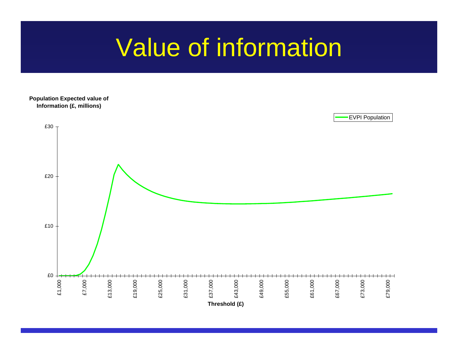#### Value of information

**P opulation Ex p e cte d v alu e of Infor mation ( £, millions)**

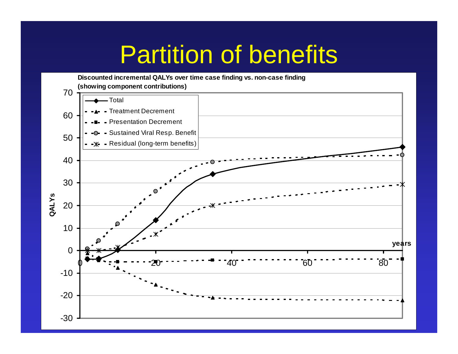#### Partition of benefits